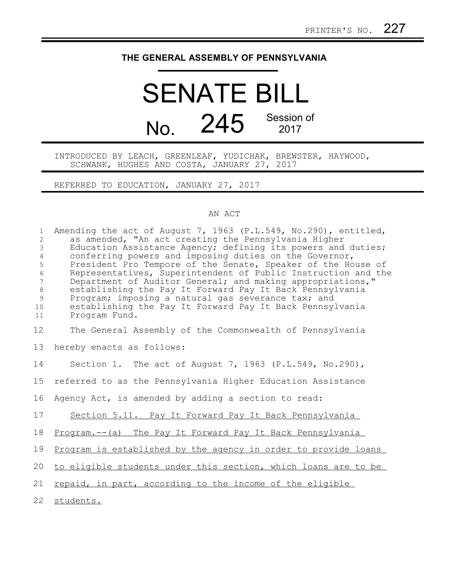## **THE GENERAL ASSEMBLY OF PENNSYLVANIA**

## SENATE BILL No. 245 Session of 2017

INTRODUCED BY LEACH, GREENLEAF, YUDICHAK, BREWSTER, HAYWOOD, SCHWANK, HUGHES AND COSTA, JANUARY 27, 2017

REFERRED TO EDUCATION, JANUARY 27, 2017

## AN ACT

| $\mathbf{1}$<br>$\mathbf{2}$<br>3<br>$\overline{4}$<br>5<br>6<br>$\overline{7}$<br>8<br>9<br>10<br>11 | Amending the act of August 7, 1963 (P.L.549, No.290), entitled,<br>as amended, "An act creating the Pennsylvania Higher<br>Education Assistance Agency; defining its powers and duties;<br>conferring powers and imposing duties on the Governor,<br>President Pro Tempore of the Senate, Speaker of the House of<br>Representatives, Superintendent of Public Instruction and the<br>Department of Auditor General; and making appropriations,"<br>establishing the Pay It Forward Pay It Back Pennsylvania<br>Program; imposing a natural gas severance tax; and<br>establishing the Pay It Forward Pay It Back Pennsylvania<br>Program Fund. |
|-------------------------------------------------------------------------------------------------------|-------------------------------------------------------------------------------------------------------------------------------------------------------------------------------------------------------------------------------------------------------------------------------------------------------------------------------------------------------------------------------------------------------------------------------------------------------------------------------------------------------------------------------------------------------------------------------------------------------------------------------------------------|
| 12                                                                                                    | The General Assembly of the Commonwealth of Pennsylvania                                                                                                                                                                                                                                                                                                                                                                                                                                                                                                                                                                                        |
| 13                                                                                                    | hereby enacts as follows:                                                                                                                                                                                                                                                                                                                                                                                                                                                                                                                                                                                                                       |
| 14                                                                                                    | Section 1. The act of August 7, 1963 (P.L.549, No.290),                                                                                                                                                                                                                                                                                                                                                                                                                                                                                                                                                                                         |
| 15                                                                                                    | referred to as the Pennsylvania Higher Education Assistance                                                                                                                                                                                                                                                                                                                                                                                                                                                                                                                                                                                     |
| 16                                                                                                    | Agency Act, is amended by adding a section to read:                                                                                                                                                                                                                                                                                                                                                                                                                                                                                                                                                                                             |
| 17                                                                                                    | Section 5.11. Pay It Forward Pay It Back Pennsylvania                                                                                                                                                                                                                                                                                                                                                                                                                                                                                                                                                                                           |
| 18                                                                                                    | Program.-- (a) The Pay It Forward Pay It Back Pennsylvania                                                                                                                                                                                                                                                                                                                                                                                                                                                                                                                                                                                      |
| 19                                                                                                    | Program is established by the agency in order to provide loans                                                                                                                                                                                                                                                                                                                                                                                                                                                                                                                                                                                  |
| 20                                                                                                    | to eligible students under this section, which loans are to be                                                                                                                                                                                                                                                                                                                                                                                                                                                                                                                                                                                  |
| 21                                                                                                    | repaid, in part, according to the income of the eligible                                                                                                                                                                                                                                                                                                                                                                                                                                                                                                                                                                                        |
| 22                                                                                                    | students.                                                                                                                                                                                                                                                                                                                                                                                                                                                                                                                                                                                                                                       |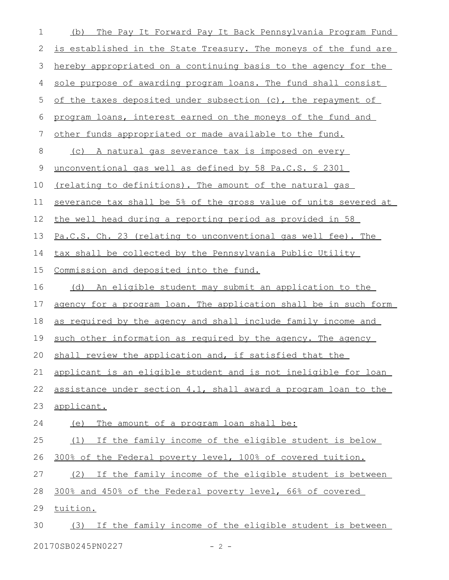| 1           | The Pay It Forward Pay It Back Pennsylvania Program Fund<br>(b)  |
|-------------|------------------------------------------------------------------|
| 2           | is established in the State Treasury. The moneys of the fund are |
| 3           | hereby appropriated on a continuing basis to the agency for the  |
| 4           | sole purpose of awarding program loans. The fund shall consist   |
| 5           | of the taxes deposited under subsection (c), the repayment of    |
| 6           | program loans, interest earned on the moneys of the fund and     |
| 7           | other funds appropriated or made available to the fund.          |
| 8           | <u>(c) A natural gas severance tax is imposed on every</u>       |
| $\mathsf 9$ | unconventional gas well as defined by 58 Pa.C.S. \$ 2301         |
| 10          | (relating to definitions). The amount of the natural gas         |
| 11          | severance tax shall be 5% of the gross value of units severed at |
| 12          | the well head during a reporting period as provided in 58        |
| 13          | Pa.C.S. Ch. 23 (relating to unconventional gas well fee). The    |
| 14          | tax shall be collected by the Pennsylvania Public Utility        |
| 15          | Commission and deposited into the fund.                          |
| 16          | (d) An eligible student may submit an application to the         |
| 17          | agency for a program loan. The application shall be in such form |
| 18          | as required by the agency and shall include family income and    |
| 19          | such other information as required by the agency. The agency     |
| 20          | shall review the application and, if satisfied that the          |
| 21          | applicant is an eligible student and is not ineligible for loan  |
| 22          | assistance under section 4.1, shall award a program loan to the  |
| 23          | applicant.                                                       |
| 24          | The amount of a program loan shall be:<br>(e)                    |
| 25          | If the family income of the eligible student is below<br>(1)     |
| 26          | 300% of the Federal poverty level, 100% of covered tuition.      |
| 27          | (2) If the family income of the eligible student is between      |
| 28          | 300% and 450% of the Federal poverty level, 66% of covered       |
| 29          | tuition.                                                         |
| 30          | (3) If the family income of the eligible student is between      |
|             | 20170SB0245PN0227<br>$-2 -$                                      |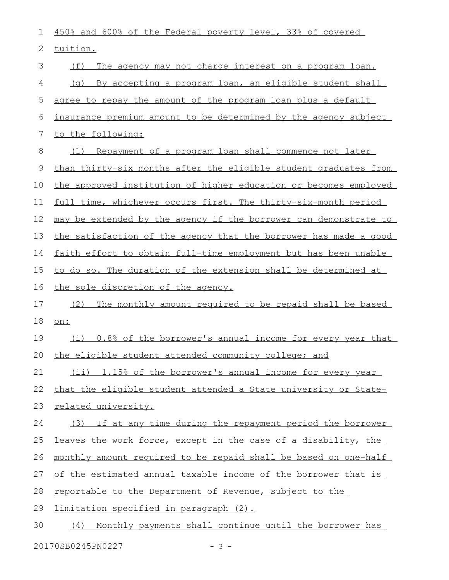| 1              | 450% and 600% of the Federal poverty level, 33% of covered       |
|----------------|------------------------------------------------------------------|
| 2              | tuition.                                                         |
| 3              | (f)<br>The agency may not charge interest on a program loan.     |
| 4              | (g) By accepting a program loan, an eligible student shall       |
| 5              | agree to repay the amount of the program loan plus a default     |
| 6              | insurance premium amount to be determined by the agency subject  |
| $\overline{7}$ | to the following:                                                |
| 8              | Repayment of a program loan shall commence not later<br>(1)      |
| 9              | than thirty-six months after the eligible student graduates from |
| 10             | the approved institution of higher education or becomes employed |
| 11             | full time, whichever occurs first. The thirty-six-month period   |
| 12             | may be extended by the agency if the borrower can demonstrate to |
| 13             | the satisfaction of the agency that the borrower has made a good |
| 14             | faith effort to obtain full-time employment but has been unable  |
| 15             | to do so. The duration of the extension shall be determined at   |
| 16             | the sole discretion of the agency.                               |
| 17             | (2)<br>The monthly amount required to be repaid shall be based   |
| 18             | on:                                                              |
| 19             | (i) 0.8% of the borrower's annual income for every year that     |
| 20             | the eligible student attended community college; and             |
| 21             |                                                                  |
|                | (ii) 1.15% of the borrower's annual income for every year        |
| 22             | that the eligible student attended a State university or State-  |
| 23             | related university.                                              |
| 24             | (3) If at any time during the repayment period the borrower      |
| 25             | leaves the work force, except in the case of a disability, the   |
| 26             | monthly amount required to be repaid shall be based on one-half  |
| 27             | of the estimated annual taxable income of the borrower that is   |
| 28             | reportable to the Department of Revenue, subject to the          |
| 29             | <u>limitation specified in paragraph (2).</u>                    |

20170SB0245PN0227 - 3 -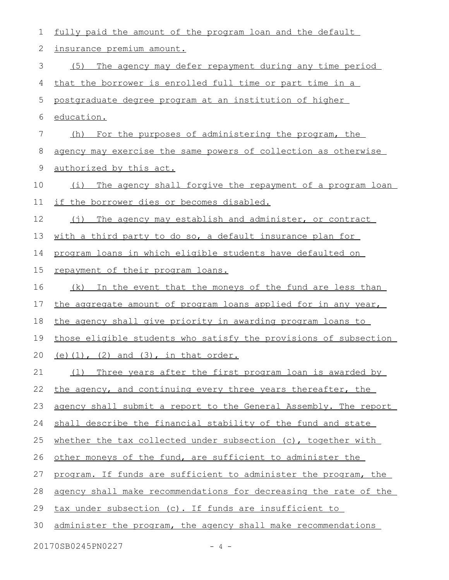| 1  | fully paid the amount of the program loan and the default         |
|----|-------------------------------------------------------------------|
| 2  | insurance premium amount.                                         |
| 3  | The agency may defer repayment during any time period<br>(5)      |
| 4  | that the borrower is enrolled full time or part time in a         |
| 5  | postgraduate degree program at an institution of higher           |
| 6  | education.                                                        |
| 7  | (h) For the purposes of administering the program, the            |
| 8  | agency may exercise the same powers of collection as otherwise    |
| 9  | authorized by this act.                                           |
| 10 | The agency shall forgive the repayment of a program loan<br>(i)   |
| 11 | if the borrower dies or becomes disabled.                         |
| 12 | (i)<br>The agency may establish and administer, or contract       |
| 13 | <u>with a third party to do so, a default insurance plan for </u> |
| 14 | program loans in which eligible students have defaulted on        |
| 15 | repayment of their program loans.                                 |
| 16 | (k) In the event that the moneys of the fund are less than        |
| 17 | the aggregate amount of program loans applied for in any year,    |
| 18 | the agency shall give priority in awarding program loans to       |
| 19 | those eligible students who satisfy the provisions of subsection  |
|    | 20 (e) (1), (2) and (3), in that order.                           |
| 21 | Three years after the first program loan is awarded by<br>(1)     |
| 22 | the agency, and continuing every three years thereafter, the      |
| 23 | agency shall submit a report to the General Assembly. The report  |
| 24 | shall describe the financial stability of the fund and state      |
| 25 | whether the tax collected under subsection (c), together with     |
| 26 | other moneys of the fund, are sufficient to administer the        |
| 27 | program. If funds are sufficient to administer the program, the   |
| 28 | agency shall make recommendations for decreasing the rate of the  |
| 29 | tax under subsection (c). If funds are insufficient to            |
| 30 | administer the program, the agency shall make recommendations     |
|    | 20170SB0245PN0227<br>$-4-$                                        |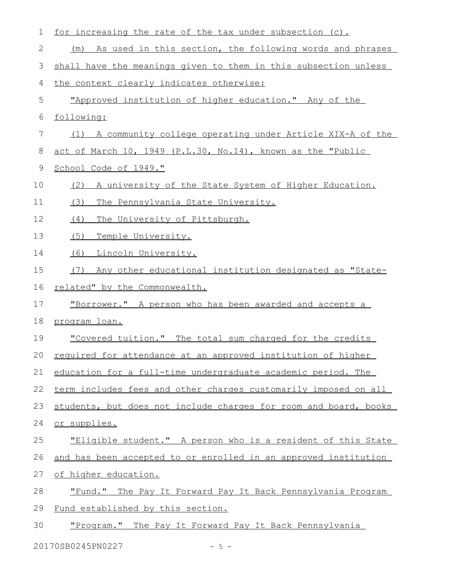| 1  | for increasing the rate of the tax under subsection (c).         |
|----|------------------------------------------------------------------|
| 2  | As used in this section, the following words and phrases<br>(m)  |
| 3  | shall have the meanings given to them in this subsection unless  |
| 4  | the context clearly indicates otherwise:                         |
| 5  | "Approved institution of higher education." Any of the           |
| 6  | following:                                                       |
| 7  | (1) A community college operating under Article XIX-A of the     |
| 8  | act of March 10, 1949 (P.L.30, No.14), known as the "Public      |
| 9  | School Code of 1949."                                            |
| 10 | A university of the State System of Higher Education.<br>(2)     |
| 11 | (3)<br>The Pennsylvania State University.                        |
| 12 | The University of Pittsburgh.<br>(4)                             |
| 13 | (5)<br>Temple University.                                        |
| 14 | Lincoln University.<br>(6)                                       |
| 15 | Any other educational institution designated as "State-<br>(7)   |
| 16 | related" by the Commonwealth.                                    |
| 17 | "Borrower." A person who has been awarded and accepts a          |
| 18 | program loan.                                                    |
| 19 | "Covered tuition." The total sum charged for the credits         |
| 20 | required for attendance at an approved institution of higher     |
| 21 | education for a full-time undergraduate academic period. The     |
| 22 | term includes fees and other charges customarily imposed on all  |
| 23 | students, but does not include charges for room and board, books |
| 24 | or supplies.                                                     |
| 25 | "Eligible student." A person who is a resident of this State     |
| 26 | and has been accepted to or enrolled in an approved institution  |
| 27 | of higher education.                                             |
| 28 | "Fund." The Pay It Forward Pay It Back Pennsylvania Program      |
| 29 | Fund established by this section.                                |
| 30 | "Program." The Pay It Forward Pay It Back Pennsylvania           |
|    | 20170SB0245PN0227<br>$-5 -$                                      |